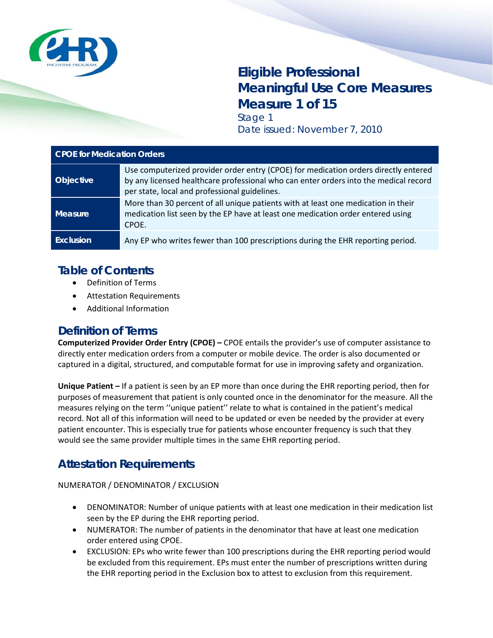

# **Eligible Professional Meaningful Use Core Measures Measure 1 of 15** Stage 1

Date issued: November 7, 2010

| <b>CPOE for Medication Orders</b> |                                                                                                                                                                                                                              |
|-----------------------------------|------------------------------------------------------------------------------------------------------------------------------------------------------------------------------------------------------------------------------|
| <b>Objective</b>                  | Use computerized provider order entry (CPOE) for medication orders directly entered<br>by any licensed healthcare professional who can enter orders into the medical record<br>per state, local and professional guidelines. |
| <b>Measure</b>                    | More than 30 percent of all unique patients with at least one medication in their<br>medication list seen by the EP have at least one medication order entered using<br>CPOE.                                                |
| <b>Exclusion</b>                  | Any EP who writes fewer than 100 prescriptions during the EHR reporting period.                                                                                                                                              |

### **Table of Contents**

- Definition of Terms
- Attestation Requirements
- Additional Information

#### **Definition of Terms**

**Computerized Provider Order Entry (CPOE) –** CPOE entails the provider's use of computer assistance to directly enter medication orders from a computer or mobile device. The order is also documented or captured in a digital, structured, and computable format for use in improving safety and organization.

**Unique Patient –** If a patient is seen by an EP more than once during the EHR reporting period, then for purposes of measurement that patient is only counted once in the denominator for the measure. All the measures relying on the term ''unique patient'' relate to what is contained in the patient's medical record. Not all of this information will need to be updated or even be needed by the provider at every patient encounter. This is especially true for patients whose encounter frequency is such that they would see the same provider multiple times in the same EHR reporting period.

# **Attestation Requirements**

NUMERATOR / DENOMINATOR / EXCLUSION

- DENOMINATOR: Number of unique patients with at least one medication in their medication list seen by the EP during the EHR reporting period.
- NUMERATOR: The number of patients in the denominator that have at least one medication order entered using CPOE.
- EXCLUSION: EPs who write fewer than 100 prescriptions during the EHR reporting period would be excluded from this requirement. EPs must enter the number of prescriptions written during the EHR reporting period in the Exclusion box to attest to exclusion from this requirement.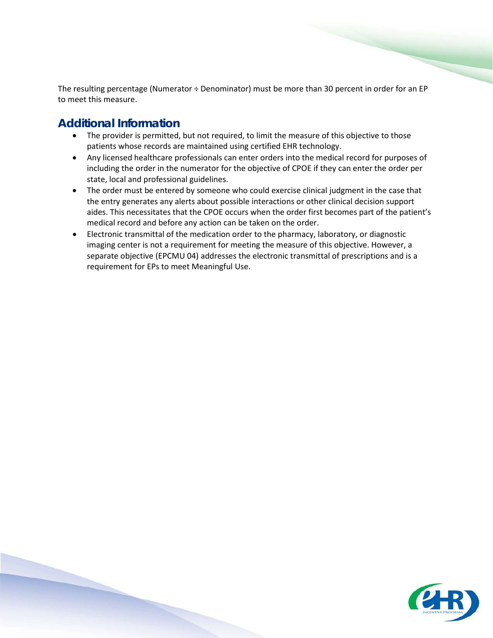The resulting percentage (Numerator ÷ Denominator) must be more than 30 percent in order for an EP to meet this measure.

- The provider is permitted, but not required, to limit the measure of this objective to those patients whose records are maintained using certified EHR technology.
- Any licensed healthcare professionals can enter orders into the medical record for purposes of including the order in the numerator for the objective of CPOE if they can enter the order per state, local and professional guidelines.
- The order must be entered by someone who could exercise clinical judgment in the case that the entry generates any alerts about possible interactions or other clinical decision support aides. This necessitates that the CPOE occurs when the order first becomes part of the patient's medical record and before any action can be taken on the order.
- Electronic transmittal of the medication order to the pharmacy, laboratory, or diagnostic imaging center is not a requirement for meeting the measure of this objective. However, a separate objective (EPCMU 04) addresses the electronic transmittal of prescriptions and is a requirement for EPs to meet Meaningful Use.

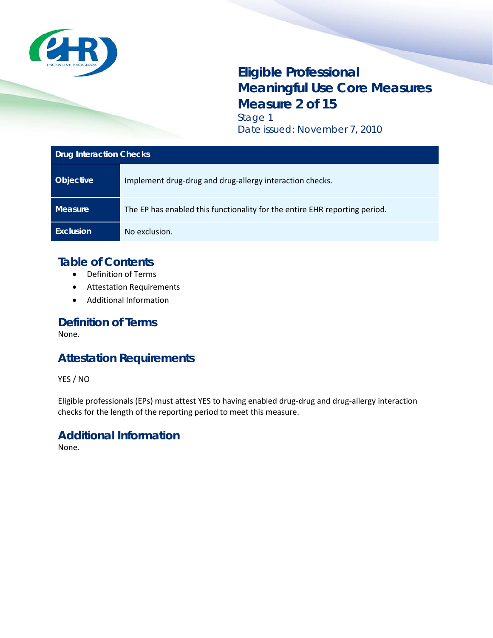

# **Eligible Professional Meaningful Use Core Measures Measure 2 of 15** Stage 1

Date issued: November 7, 2010

#### **Drug Interaction Checks**

| <b>Objective</b> | Implement drug-drug and drug-allergy interaction checks.                   |
|------------------|----------------------------------------------------------------------------|
| <b>Measure</b>   | The EP has enabled this functionality for the entire EHR reporting period. |
| <b>Exclusion</b> | No exclusion.                                                              |

#### **Table of Contents**

- Definition of Terms
- Attestation Requirements
- Additional Information

#### **Definition of Terms**

None.

### **Attestation Requirements**

YES / NO

Eligible professionals (EPs) must attest YES to having enabled drug-drug and drug-allergy interaction checks for the length of the reporting period to meet this measure.

#### **Additional Information**

None.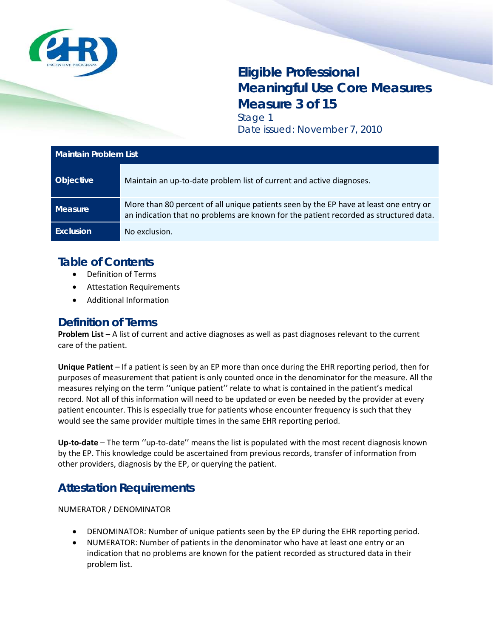

# **Eligible Professional Meaningful Use Core Measures Measure 3 of 15** Stage 1

Date issued: November 7, 2010

| <b>Maintain Problem List</b> |                                                                                                                                                                                |
|------------------------------|--------------------------------------------------------------------------------------------------------------------------------------------------------------------------------|
| <b>Objective</b>             | Maintain an up-to-date problem list of current and active diagnoses.                                                                                                           |
| <b>Measure</b>               | More than 80 percent of all unique patients seen by the EP have at least one entry or<br>an indication that no problems are known for the patient recorded as structured data. |
| <b>Exclusion</b>             | No exclusion.                                                                                                                                                                  |

# **Table of Contents**

- Definition of Terms
- Attestation Requirements
- Additional Information

#### **Definition of Terms**

**Problem List** – A list of current and active diagnoses as well as past diagnoses relevant to the current care of the patient.

**Unique Patient** – If a patient is seen by an EP more than once during the EHR reporting period, then for purposes of measurement that patient is only counted once in the denominator for the measure. All the measures relying on the term ''unique patient'' relate to what is contained in the patient's medical record. Not all of this information will need to be updated or even be needed by the provider at every patient encounter. This is especially true for patients whose encounter frequency is such that they would see the same provider multiple times in the same EHR reporting period.

**Up-to-date** – The term ''up-to-date'' means the list is populated with the most recent diagnosis known by the EP. This knowledge could be ascertained from previous records, transfer of information from other providers, diagnosis by the EP, or querying the patient.

# **Attestation Requirements**

NUMERATOR / DENOMINATOR

- DENOMINATOR: Number of unique patients seen by the EP during the EHR reporting period.
- NUMERATOR: Number of patients in the denominator who have at least one entry or an indication that no problems are known for the patient recorded as structured data in their problem list.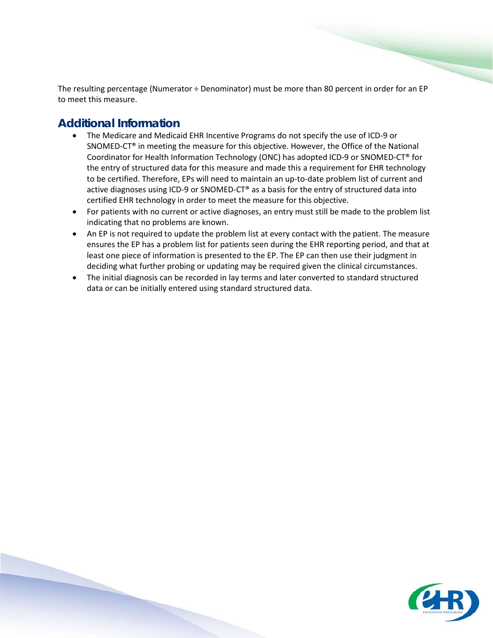The resulting percentage (Numerator ÷ Denominator) must be more than 80 percent in order for an EP to meet this measure.

- The Medicare and Medicaid EHR Incentive Programs do not specify the use of ICD-9 or SNOMED-CT® in meeting the measure for this objective. However, the Office of the National Coordinator for Health Information Technology (ONC) has adopted ICD-9 or SNOMED-CT® for the entry of structured data for this measure and made this a requirement for EHR technology to be certified. Therefore, EPs will need to maintain an up-to-date problem list of current and active diagnoses using ICD-9 or SNOMED-CT® as a basis for the entry of structured data into certified EHR technology in order to meet the measure for this objective.
- For patients with no current or active diagnoses, an entry must still be made to the problem list indicating that no problems are known.
- An EP is not required to update the problem list at every contact with the patient. The measure ensures the EP has a problem list for patients seen during the EHR reporting period, and that at least one piece of information is presented to the EP. The EP can then use their judgment in deciding what further probing or updating may be required given the clinical circumstances.
- The initial diagnosis can be recorded in lay terms and later converted to standard structured data or can be initially entered using standard structured data.

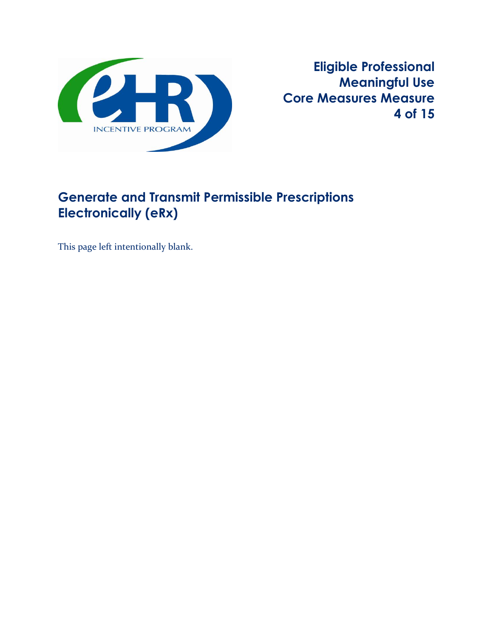

**Eligible Professional Meaningful Use Core Measures Measure 4 of 15** 

# **Generate and Transmit Permissible Prescriptions Electronically (eRx)**

This page left intentionally blank.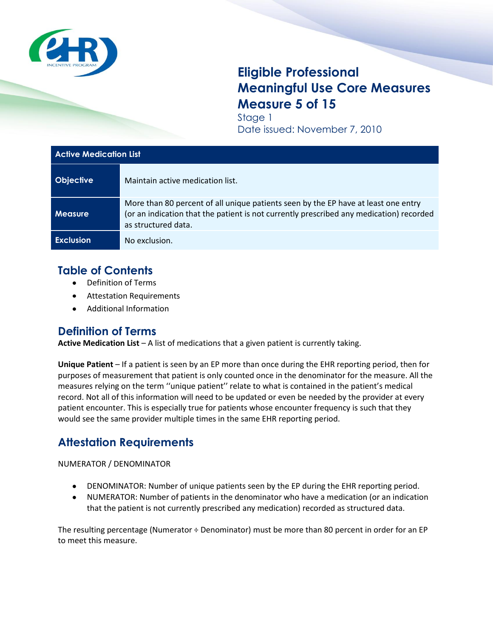

# **Eligible Professional Meaningful Use Core Measures Measure 5 of 15**

Stage 1 Date issued: November 7, 2010

| <b>Active Medication List</b> |                                                                                                                                                                                                      |
|-------------------------------|------------------------------------------------------------------------------------------------------------------------------------------------------------------------------------------------------|
| <b>Objective</b>              | Maintain active medication list.                                                                                                                                                                     |
| <b>Measure</b>                | More than 80 percent of all unique patients seen by the EP have at least one entry<br>(or an indication that the patient is not currently prescribed any medication) recorded<br>as structured data. |
| <b>Exclusion</b>              | No exclusion.                                                                                                                                                                                        |

## **Table of Contents**

- Definition of Terms
- $\bullet$ Attestation Requirements
- Additional Information

#### **Definition of Terms**

**Active Medication List** – A list of medications that a given patient is currently taking.

**Unique Patient** – If a patient is seen by an EP more than once during the EHR reporting period, then for purposes of measurement that patient is only counted once in the denominator for the measure. All the measures relying on the term ''unique patient'' relate to what is contained in the patient's medical record. Not all of this information will need to be updated or even be needed by the provider at every patient encounter. This is especially true for patients whose encounter frequency is such that they would see the same provider multiple times in the same EHR reporting period.

# **Attestation Requirements**

NUMERATOR / DENOMINATOR

- DENOMINATOR: Number of unique patients seen by the EP during the EHR reporting period.
- NUMERATOR: Number of patients in the denominator who have a medication (or an indication that the patient is not currently prescribed any medication) recorded as structured data.

The resulting percentage (Numerator  $\div$  Denominator) must be more than 80 percent in order for an EP to meet this measure.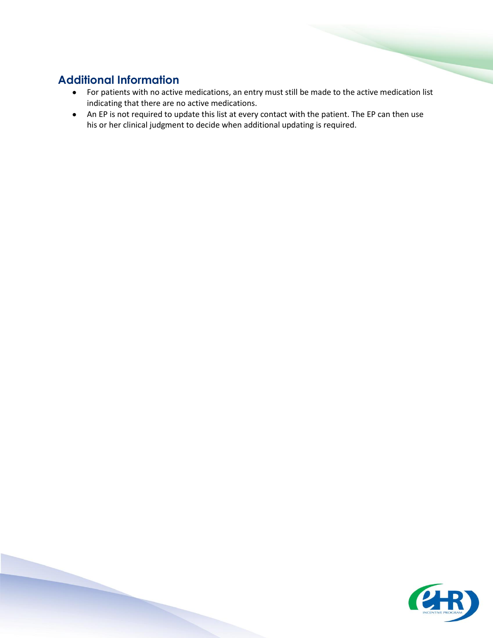- For patients with no active medications, an entry must still be made to the active medication list indicating that there are no active medications.
- An EP is not required to update this list at every contact with the patient. The EP can then use his or her clinical judgment to decide when additional updating is required.

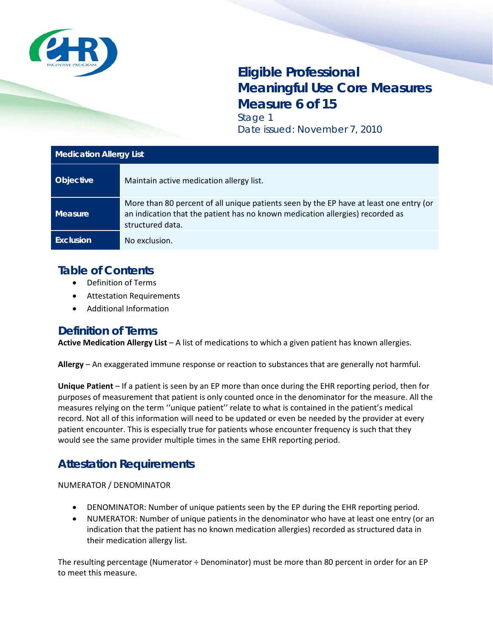

# **Eligible Professional Meaningful Use Core Measures Measure 6 of 15**

Stage 1 Date issued: November 7, 2010

| <b>Medication Allergy List</b> |                                                                                                                                                                                             |
|--------------------------------|---------------------------------------------------------------------------------------------------------------------------------------------------------------------------------------------|
| <b>Objective</b>               | Maintain active medication allergy list.                                                                                                                                                    |
| Measure                        | More than 80 percent of all unique patients seen by the EP have at least one entry (or<br>an indication that the patient has no known medication allergies) recorded as<br>structured data. |
| Exclusion                      | No exclusion.                                                                                                                                                                               |

### **Table of Contents**

- Definition of Terms
- Attestation Requirements
- Additional Information

#### **Definition of Terms**

**Active Medication Allergy List** – A list of medications to which a given patient has known allergies.

**Allergy** – An exaggerated immune response or reaction to substances that are generally not harmful.

**Unique Patient** – If a patient is seen by an EP more than once during the EHR reporting period, then for purposes of measurement that patient is only counted once in the denominator for the measure. All the measures relying on the term ''unique patient'' relate to what is contained in the patient's medical record. Not all of this information will need to be updated or even be needed by the provider at every patient encounter. This is especially true for patients whose encounter frequency is such that they would see the same provider multiple times in the same EHR reporting period.

### **Attestation Requirements**

NUMERATOR / DENOMINATOR

- DENOMINATOR: Number of unique patients seen by the EP during the EHR reporting period.
- NUMERATOR: Number of unique patients in the denominator who have at least one entry (or an indication that the patient has no known medication allergies) recorded as structured data in their medication allergy list.

The resulting percentage (Numerator ÷ Denominator) must be more than 80 percent in order for an EP to meet this measure.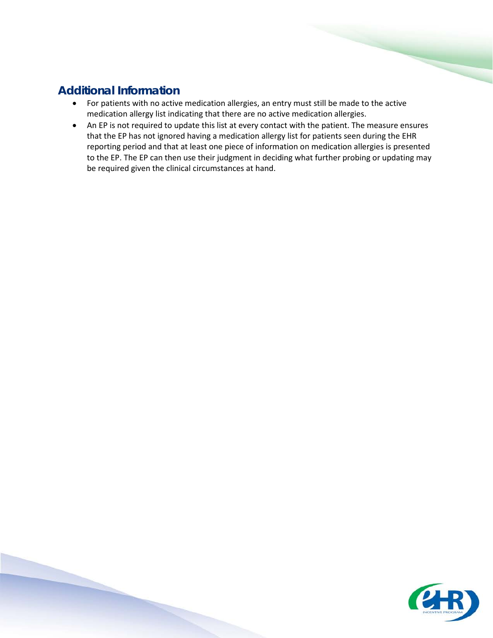- For patients with no active medication allergies, an entry must still be made to the active medication allergy list indicating that there are no active medication allergies.
- An EP is not required to update this list at every contact with the patient. The measure ensures that the EP has not ignored having a medication allergy list for patients seen during the EHR reporting period and that at least one piece of information on medication allergies is presented to the EP. The EP can then use their judgment in deciding what further probing or updating may be required given the clinical circumstances at hand.

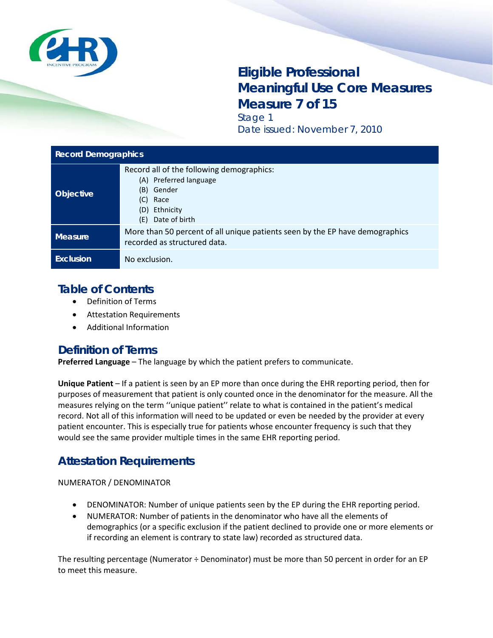

# **Eligible Professional Meaningful Use Core Measures Measure 7 of 15**

Stage 1 Date issued: November 7, 2010

| <b>Record Demographics</b> |                                                                                                                                                 |
|----------------------------|-------------------------------------------------------------------------------------------------------------------------------------------------|
| Objective                  | Record all of the following demographics:<br>(A) Preferred language<br>(B)<br>Gender<br>(C)<br>Race<br>Ethnicity<br>(D)<br>Date of birth<br>(E) |
| <b>Measure</b>             | More than 50 percent of all unique patients seen by the EP have demographics<br>recorded as structured data.                                    |
| Exclusion                  | No exclusion.                                                                                                                                   |

### **Table of Contents**

- Definition of Terms
- Attestation Requirements
- Additional Information

#### **Definition of Terms**

**Preferred Language** – The language by which the patient prefers to communicate.

**Unique Patient** – If a patient is seen by an EP more than once during the EHR reporting period, then for purposes of measurement that patient is only counted once in the denominator for the measure. All the measures relying on the term ''unique patient'' relate to what is contained in the patient's medical record. Not all of this information will need to be updated or even be needed by the provider at every patient encounter. This is especially true for patients whose encounter frequency is such that they would see the same provider multiple times in the same EHR reporting period.

# **Attestation Requirements**

NUMERATOR / DENOMINATOR

- DENOMINATOR: Number of unique patients seen by the EP during the EHR reporting period.
- NUMERATOR: Number of patients in the denominator who have all the elements of demographics (or a specific exclusion if the patient declined to provide one or more elements or if recording an element is contrary to state law) recorded as structured data.

The resulting percentage (Numerator ÷ Denominator) must be more than 50 percent in order for an EP to meet this measure.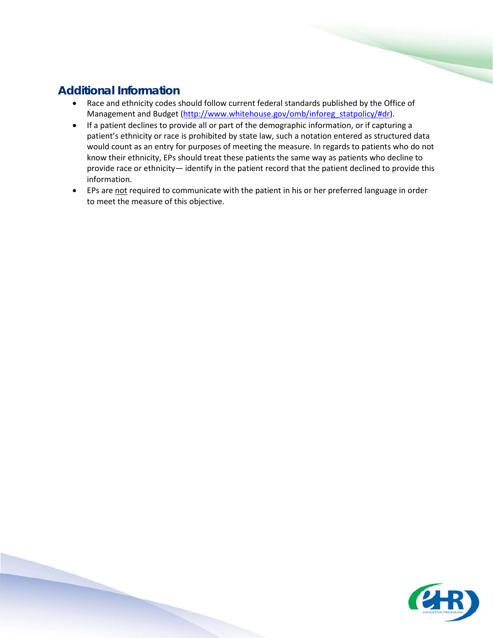- Race and ethnicity codes should follow current federal standards published by the Office of Management and Budget [\(http://www.whitehouse.gov/omb/inforeg\\_statpolicy/#dr\)](http://www.whitehouse.gov/omb/inforeg_statpolicy/#dr).
- If a patient declines to provide all or part of the demographic information, or if capturing a patient's ethnicity or race is prohibited by state law, such a notation entered as structured data would count as an entry for purposes of meeting the measure. In regards to patients who do not know their ethnicity, EPs should treat these patients the same way as patients who decline to provide race or ethnicity— identify in the patient record that the patient declined to provide this information.
- EPs are not required to communicate with the patient in his or her preferred language in order to meet the measure of this objective.

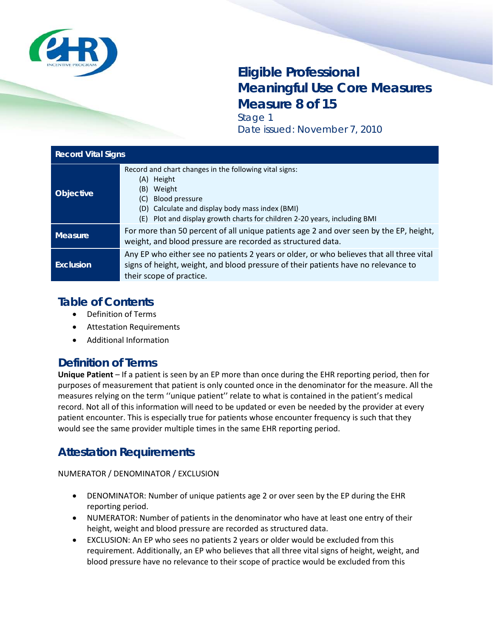

# **Eligible Professional Meaningful Use Core Measures Measure 8 of 15**

Stage 1 Date issued: November 7, 2010

| <b>Record Vital Signs</b> |                                                                                                                                                                                                                                                             |
|---------------------------|-------------------------------------------------------------------------------------------------------------------------------------------------------------------------------------------------------------------------------------------------------------|
| Objective                 | Record and chart changes in the following vital signs:<br>Height<br>(A)<br>Weight<br>(B)<br><b>Blood pressure</b><br>(C)<br>(D) Calculate and display body mass index (BMI)<br>Plot and display growth charts for children 2-20 years, including BMI<br>(E) |
| <b>Measure</b>            | For more than 50 percent of all unique patients age 2 and over seen by the EP, height,<br>weight, and blood pressure are recorded as structured data.                                                                                                       |
| <b>Exclusion</b>          | Any EP who either see no patients 2 years or older, or who believes that all three vital<br>signs of height, weight, and blood pressure of their patients have no relevance to<br>their scope of practice.                                                  |

## **Table of Contents**

- Definition of Terms
- Attestation Requirements
- Additional Information

### **Definition of Terms**

**Unique Patient** – If a patient is seen by an EP more than once during the EHR reporting period, then for purposes of measurement that patient is only counted once in the denominator for the measure. All the measures relying on the term ''unique patient'' relate to what is contained in the patient's medical record. Not all of this information will need to be updated or even be needed by the provider at every patient encounter. This is especially true for patients whose encounter frequency is such that they would see the same provider multiple times in the same EHR reporting period.

# **Attestation Requirements**

NUMERATOR / DENOMINATOR / EXCLUSION

- DENOMINATOR: Number of unique patients age 2 or over seen by the EP during the EHR reporting period.
- NUMERATOR: Number of patients in the denominator who have at least one entry of their height, weight and blood pressure are recorded as structured data.
- EXCLUSION: An EP who sees no patients 2 years or older would be excluded from this requirement. Additionally, an EP who believes that all three vital signs of height, weight, and blood pressure have no relevance to their scope of practice would be excluded from this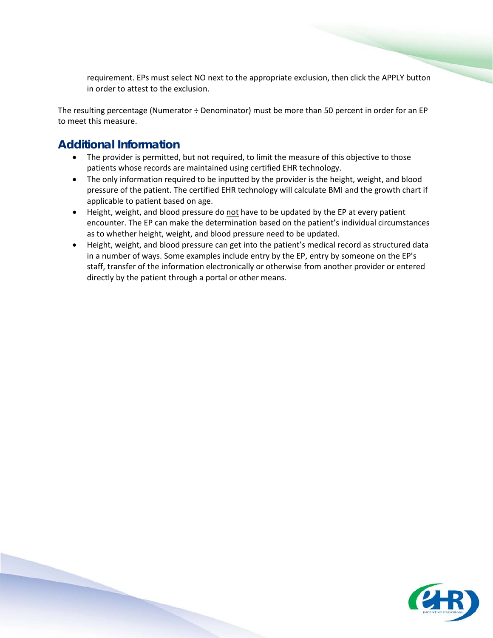requirement. EPs must select NO next to the appropriate exclusion, then click the APPLY button in order to attest to the exclusion.

The resulting percentage (Numerator ÷ Denominator) must be more than 50 percent in order for an EP to meet this measure.

- The provider is permitted, but not required, to limit the measure of this objective to those patients whose records are maintained using certified EHR technology.
- The only information required to be inputted by the provider is the height, weight, and blood pressure of the patient. The certified EHR technology will calculate BMI and the growth chart if applicable to patient based on age.
- Height, weight, and blood pressure do not have to be updated by the EP at every patient encounter. The EP can make the determination based on the patient's individual circumstances as to whether height, weight, and blood pressure need to be updated.
- Height, weight, and blood pressure can get into the patient's medical record as structured data in a number of ways. Some examples include entry by the EP, entry by someone on the EP's staff, transfer of the information electronically or otherwise from another provider or entered directly by the patient through a portal or other means.

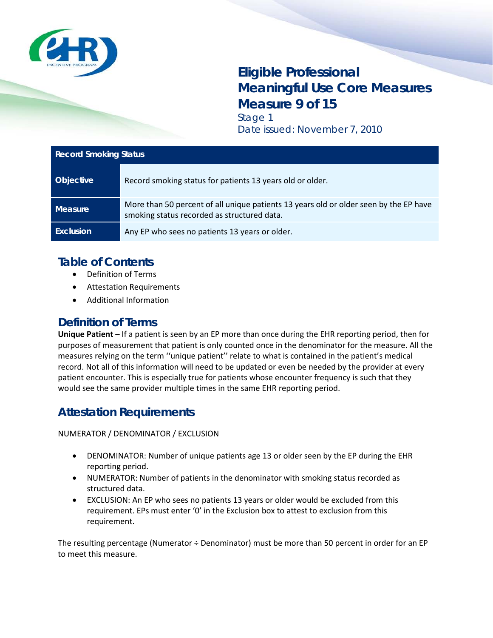

# **Eligible Professional Meaningful Use Core Measures Measure 9 of 15** Stage 1

Date issued: November 7, 2010

| <b>Record Smoking Status</b> |                                                                                                                                      |
|------------------------------|--------------------------------------------------------------------------------------------------------------------------------------|
| <b>Objective</b>             | Record smoking status for patients 13 years old or older.                                                                            |
| <b>Measure</b>               | More than 50 percent of all unique patients 13 years old or older seen by the EP have<br>smoking status recorded as structured data. |
| <b>Exclusion</b>             | Any EP who sees no patients 13 years or older.                                                                                       |

# **Table of Contents**

- Definition of Terms
- Attestation Requirements
- Additional Information

#### **Definition of Terms**

**Unique Patient** – If a patient is seen by an EP more than once during the EHR reporting period, then for purposes of measurement that patient is only counted once in the denominator for the measure. All the measures relying on the term ''unique patient'' relate to what is contained in the patient's medical record. Not all of this information will need to be updated or even be needed by the provider at every patient encounter. This is especially true for patients whose encounter frequency is such that they would see the same provider multiple times in the same EHR reporting period.

### **Attestation Requirements**

NUMERATOR / DENOMINATOR / EXCLUSION

- DENOMINATOR: Number of unique patients age 13 or older seen by the EP during the EHR reporting period.
- NUMERATOR: Number of patients in the denominator with smoking status recorded as structured data.
- EXCLUSION: An EP who sees no patients 13 years or older would be excluded from this requirement. EPs must enter '0' in the Exclusion box to attest to exclusion from this requirement.

The resulting percentage (Numerator ÷ Denominator) must be more than 50 percent in order for an EP to meet this measure.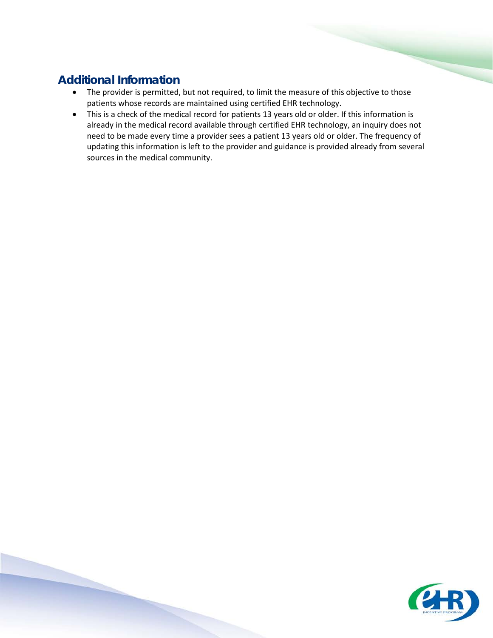- The provider is permitted, but not required, to limit the measure of this objective to those patients whose records are maintained using certified EHR technology.
- This is a check of the medical record for patients 13 years old or older. If this information is already in the medical record available through certified EHR technology, an inquiry does not need to be made every time a provider sees a patient 13 years old or older. The frequency of updating this information is left to the provider and guidance is provided already from several sources in the medical community.

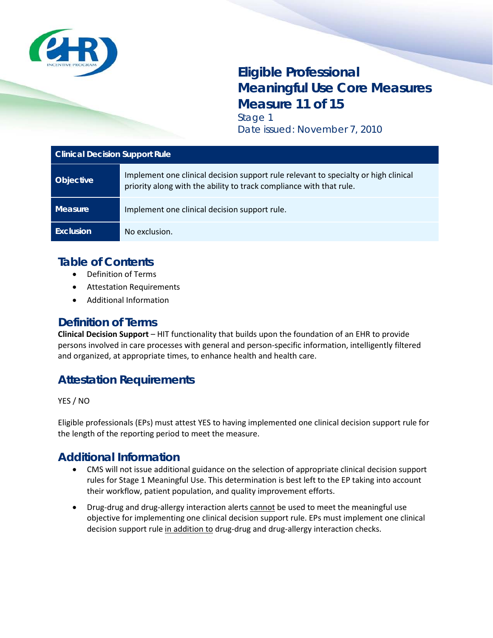

# **Eligible Professional Meaningful Use Core Measures Measure 10 of 15** Stage 1

Date issued: November 7, 2010

#### **Clinical Quality Measures (CQMs)**

| <b>Objective</b> | Report ambulatory clinical quality measures to CMS.                                                                |
|------------------|--------------------------------------------------------------------------------------------------------------------|
| <b>Measure</b>   | Successfully report to CMS ambulatory clinical quality measures selected by CMS in<br>the manner specified by CMS. |
| <b>Exclusion</b> | No exclusion.                                                                                                      |

#### **Table of Contents**

- Definition of Terms
- Attestation Requirements
- Additional Information

#### **Definition of Terms**

None

### **Attestation Requirements**

YES / NO

Eligible professionals (EPs) must attest YES to reporting to CMS ambulatory clinical quality measures selected by CMS in the manner specified by CMS to meet the measure.

- The provider is permitted, but not required, to limit the measure of this objective to those patients whose records are maintained using certified EHR technology.
- Attesting to the measure of this objective indicates that the EP will submit complete ambulatory clinical quality measure information as required during the attestation process. During attestation, EPs will also attest to the numerators, denominators, and exclusions for individual ambulatory clinical quality measures.
- For requirements and electronic specifications related to individual ambulatory clinical quality measures, EPs should refer to: [http://www.cms.gov/QualityMeasures/03\\_ElectronicSpecifications.asp#TopOfPage.](http://www.cms.gov/QualityMeasures/03_ElectronicSpecifications.asp#TopOfPage)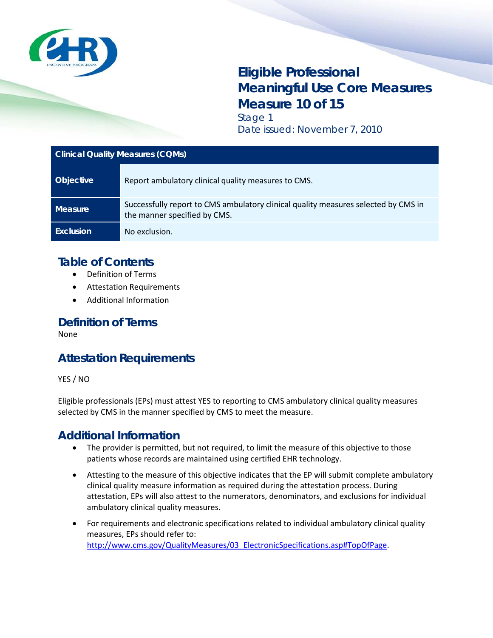

# **Eligible Professional Meaningful Use Core Measures Measure 11 of 15** Stage 1

Date issued: November 7, 2010

| <b>Clinical Decision Support Rule</b> |                                                                                                                                                            |
|---------------------------------------|------------------------------------------------------------------------------------------------------------------------------------------------------------|
| <b>Objective</b>                      | Implement one clinical decision support rule relevant to specialty or high clinical<br>priority along with the ability to track compliance with that rule. |
| Measure                               | Implement one clinical decision support rule.                                                                                                              |
| Exclusion                             | No exclusion.                                                                                                                                              |

# **Table of Contents**

- Definition of Terms
- Attestation Requirements
- Additional Information

#### **Definition of Terms**

**Clinical Decision Support** – HIT functionality that builds upon the foundation of an EHR to provide persons involved in care processes with general and person-specific information, intelligently filtered and organized, at appropriate times, to enhance health and health care.

# **Attestation Requirements**

YES / NO

Eligible professionals (EPs) must attest YES to having implemented one clinical decision support rule for the length of the reporting period to meet the measure.

- CMS will not issue additional guidance on the selection of appropriate clinical decision support rules for Stage 1 Meaningful Use. This determination is best left to the EP taking into account their workflow, patient population, and quality improvement efforts.
- Drug-drug and drug-allergy interaction alerts cannot be used to meet the meaningful use objective for implementing one clinical decision support rule. EPs must implement one clinical decision support rule in addition to drug-drug and drug-allergy interaction checks.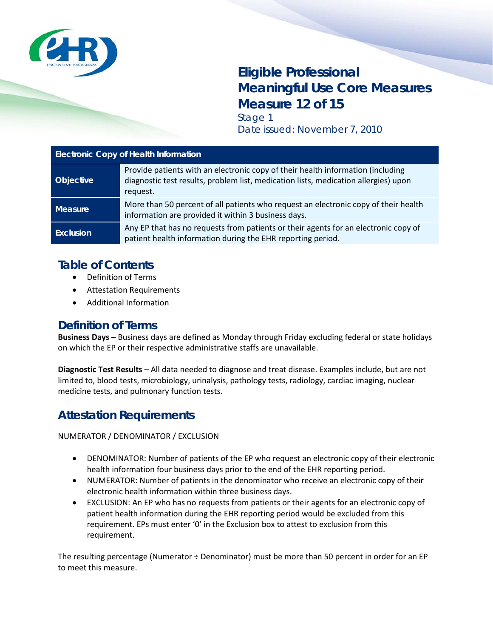

# **Eligible Professional Meaningful Use Core Measures Measure 12 of 15** Stage 1

Date issued: November 7, 2010

| <b>Electronic Copy of Health Information</b> |                                                                                                                                                                                    |
|----------------------------------------------|------------------------------------------------------------------------------------------------------------------------------------------------------------------------------------|
| <b>Objective</b>                             | Provide patients with an electronic copy of their health information (including<br>diagnostic test results, problem list, medication lists, medication allergies) upon<br>request. |
| Measure                                      | More than 50 percent of all patients who request an electronic copy of their health<br>information are provided it within 3 business days.                                         |
| <b>Exclusion</b>                             | Any EP that has no requests from patients or their agents for an electronic copy of<br>patient health information during the EHR reporting period.                                 |

#### **Table of Contents**

- Definition of Terms
- Attestation Requirements
- Additional Information

#### **Definition of Terms**

**Business Days** – Business days are defined as Monday through Friday excluding federal or state holidays on which the EP or their respective administrative staffs are unavailable.

**Diagnostic Test Results** – All data needed to diagnose and treat disease. Examples include, but are not limited to, blood tests, microbiology, urinalysis, pathology tests, radiology, cardiac imaging, nuclear medicine tests, and pulmonary function tests.

### **Attestation Requirements**

NUMERATOR / DENOMINATOR / EXCLUSION

- DENOMINATOR: Number of patients of the EP who request an electronic copy of their electronic health information four business days prior to the end of the EHR reporting period.
- NUMERATOR: Number of patients in the denominator who receive an electronic copy of their electronic health information within three business days.
- EXCLUSION: An EP who has no requests from patients or their agents for an electronic copy of patient health information during the EHR reporting period would be excluded from this requirement. EPs must enter '0' in the Exclusion box to attest to exclusion from this requirement.

The resulting percentage (Numerator ÷ Denominator) must be more than 50 percent in order for an EP to meet this measure.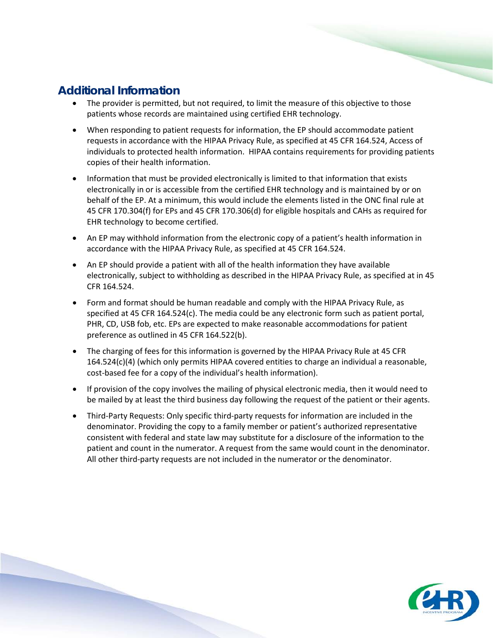- The provider is permitted, but not required, to limit the measure of this objective to those patients whose records are maintained using certified EHR technology.
- When responding to patient requests for information, the EP should accommodate patient requests in accordance with the HIPAA Privacy Rule, as specified at 45 CFR 164.524, Access of individuals to protected health information. HIPAA contains requirements for providing patients copies of their health information.
- Information that must be provided electronically is limited to that information that exists electronically in or is accessible from the certified EHR technology and is maintained by or on behalf of the EP. At a minimum, this would include the elements listed in the ONC final rule at 45 CFR 170.304(f) for EPs and 45 CFR 170.306(d) for eligible hospitals and CAHs as required for EHR technology to become certified.
- An EP may withhold information from the electronic copy of a patient's health information in accordance with the HIPAA Privacy Rule, as specified at 45 CFR 164.524.
- An EP should provide a patient with all of the health information they have available electronically, subject to withholding as described in the HIPAA Privacy Rule, as specified at in 45 CFR 164.524.
- Form and format should be human readable and comply with the HIPAA Privacy Rule, as specified at 45 CFR 164.524(c). The media could be any electronic form such as patient portal, PHR, CD, USB fob, etc. EPs are expected to make reasonable accommodations for patient preference as outlined in 45 CFR 164.522(b).
- The charging of fees for this information is governed by the HIPAA Privacy Rule at 45 CFR 164.524(c)(4) (which only permits HIPAA covered entities to charge an individual a reasonable, cost-based fee for a copy of the individual's health information).
- If provision of the copy involves the mailing of physical electronic media, then it would need to be mailed by at least the third business day following the request of the patient or their agents.
- Third-Party Requests: Only specific third-party requests for information are included in the denominator. Providing the copy to a family member or patient's authorized representative consistent with federal and state law may substitute for a disclosure of the information to the patient and count in the numerator. A request from the same would count in the denominator. All other third-party requests are not included in the numerator or the denominator.

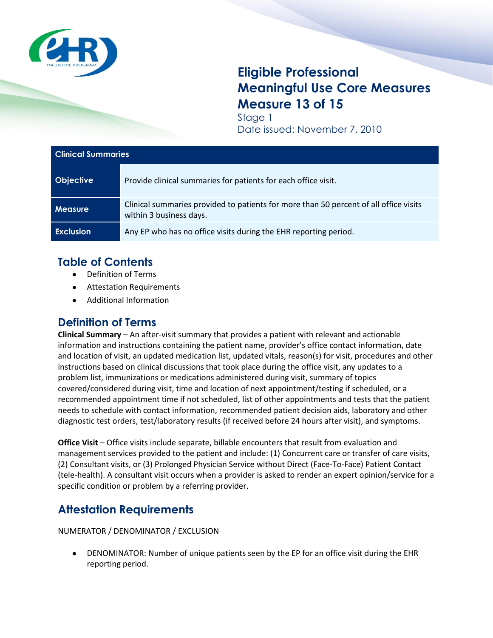

# **Eligible Professional Meaningful Use Core Measures Measure 13 of 15**

Stage 1 Date issued: November 7, 2010

| <b>Clinical Summaries</b> |                                                                                                                  |
|---------------------------|------------------------------------------------------------------------------------------------------------------|
| <b>Objective</b>          | Provide clinical summaries for patients for each office visit.                                                   |
| <b>Measure</b>            | Clinical summaries provided to patients for more than 50 percent of all office visits<br>within 3 business days. |
| <b>Exclusion</b>          | Any EP who has no office visits during the EHR reporting period.                                                 |

# **Table of Contents**

- Definition of Terms
- $\bullet$ Attestation Requirements
- Additional Information

## **Definition of Terms**

**Clinical Summary** – An after-visit summary that provides a patient with relevant and actionable information and instructions containing the patient name, provider's office contact information, date and location of visit, an updated medication list, updated vitals, reason(s) for visit, procedures and other instructions based on clinical discussions that took place during the office visit, any updates to a problem list, immunizations or medications administered during visit, summary of topics covered/considered during visit, time and location of next appointment/testing if scheduled, or a recommended appointment time if not scheduled, list of other appointments and tests that the patient needs to schedule with contact information, recommended patient decision aids, laboratory and other diagnostic test orders, test/laboratory results (if received before 24 hours after visit), and symptoms.

**Office Visit – Office visits include separate, billable encounters that result from evaluation and** management services provided to the patient and include: (1) Concurrent care or transfer of care visits, (2) Consultant visits, or (3) Prolonged Physician Service without Direct (Face-To-Face) Patient Contact (tele-health). A consultant visit occurs when a provider is asked to render an expert opinion/service for a specific condition or problem by a referring provider.

# **Attestation Requirements**

NUMERATOR / DENOMINATOR / EXCLUSION

DENOMINATOR: Number of unique patients seen by the EP for an office visit during the EHR reporting period.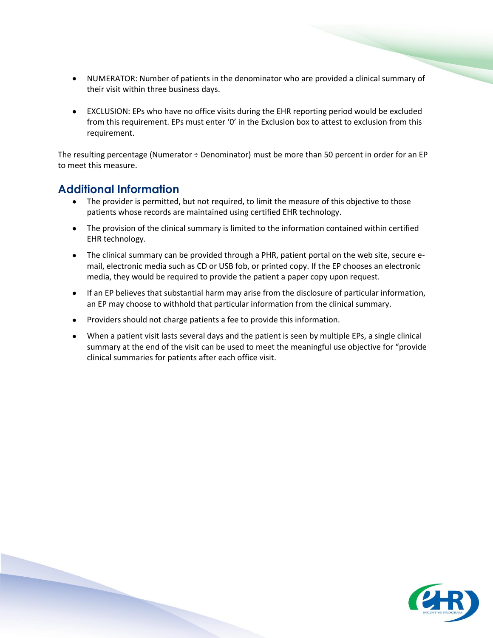- NUMERATOR: Number of patients in the denominator who are provided a clinical summary of their visit within three business days.
- EXCLUSION: EPs who have no office visits during the EHR reporting period would be excluded from this requirement. EPs must enter '0' in the Exclusion box to attest to exclusion from this requirement.

The resulting percentage (Numerator ÷ Denominator) must be more than 50 percent in order for an EP to meet this measure.

- $\bullet$ The provider is permitted, but not required, to limit the measure of this objective to those patients whose records are maintained using certified EHR technology.
- The provision of the clinical summary is limited to the information contained within certified EHR technology.
- The clinical summary can be provided through a PHR, patient portal on the web site, secure email, electronic media such as CD or USB fob, or printed copy. If the EP chooses an electronic media, they would be required to provide the patient a paper copy upon request.
- If an EP believes that substantial harm may arise from the disclosure of particular information, an EP may choose to withhold that particular information from the clinical summary.
- Providers should not charge patients a fee to provide this information.
- When a patient visit lasts several days and the patient is seen by multiple EPs, a single clinical summary at the end of the visit can be used to meet the meaningful use objective for "provide clinical summaries for patients after each office visit.

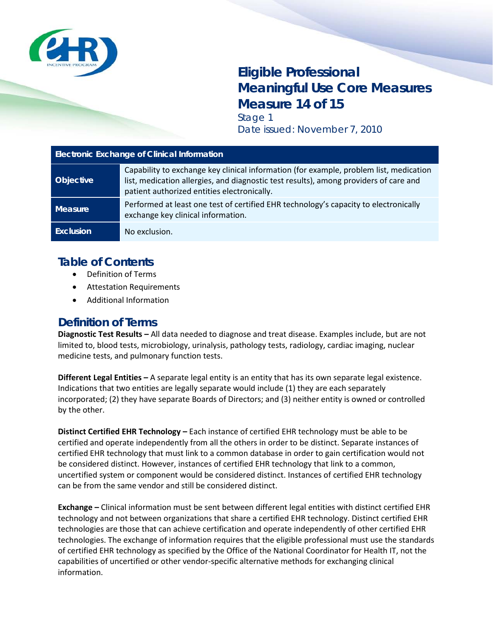

# **Eligible Professional Meaningful Use Core Measures Measure 14 of 15** Stage 1

Date issued: November 7, 2010

| <b>Electronic Exchange of Clinical Information</b> |                                                                                                                                                                                                                                |
|----------------------------------------------------|--------------------------------------------------------------------------------------------------------------------------------------------------------------------------------------------------------------------------------|
| <b>Objective</b>                                   | Capability to exchange key clinical information (for example, problem list, medication<br>list, medication allergies, and diagnostic test results), among providers of care and<br>patient authorized entities electronically. |
| <b>Measure</b>                                     | Performed at least one test of certified EHR technology's capacity to electronically<br>exchange key clinical information.                                                                                                     |
| <b>Exclusion</b>                                   | No exclusion.                                                                                                                                                                                                                  |

## **Table of Contents**

- Definition of Terms
- Attestation Requirements
- Additional Information

#### **Definition of Terms**

**Diagnostic Test Results –** All data needed to diagnose and treat disease. Examples include, but are not limited to, blood tests, microbiology, urinalysis, pathology tests, radiology, cardiac imaging, nuclear medicine tests, and pulmonary function tests.

**Different Legal Entities –** A separate legal entity is an entity that has its own separate legal existence. Indications that two entities are legally separate would include (1) they are each separately incorporated; (2) they have separate Boards of Directors; and (3) neither entity is owned or controlled by the other.

**Distinct Certified EHR Technology –** Each instance of certified EHR technology must be able to be certified and operate independently from all the others in order to be distinct. Separate instances of certified EHR technology that must link to a common database in order to gain certification would not be considered distinct. However, instances of certified EHR technology that link to a common, uncertified system or component would be considered distinct. Instances of certified EHR technology can be from the same vendor and still be considered distinct.

**Exchange –** Clinical information must be sent between different legal entities with distinct certified EHR technology and not between organizations that share a certified EHR technology. Distinct certified EHR technologies are those that can achieve certification and operate independently of other certified EHR technologies. The exchange of information requires that the eligible professional must use the standards of certified EHR technology as specified by the Office of the National Coordinator for Health IT, not the capabilities of uncertified or other vendor-specific alternative methods for exchanging clinical information.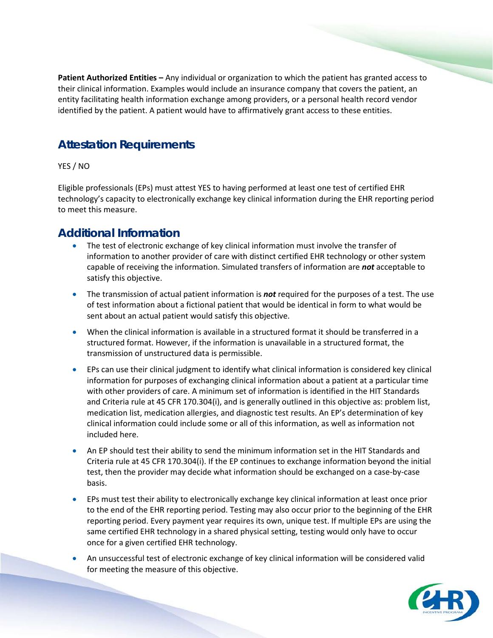**Patient Authorized Entities –** Any individual or organization to which the patient has granted access to their clinical information. Examples would include an insurance company that covers the patient, an entity facilitating health information exchange among providers, or a personal health record vendor identified by the patient. A patient would have to affirmatively grant access to these entities.

### **Attestation Requirements**

#### YES / NO

Eligible professionals (EPs) must attest YES to having performed at least one test of certified EHR technology's capacity to electronically exchange key clinical information during the EHR reporting period to meet this measure.

- The test of electronic exchange of key clinical information must involve the transfer of information to another provider of care with distinct certified EHR technology or other system capable of receiving the information. Simulated transfers of information are *not* acceptable to satisfy this objective.
- The transmission of actual patient information is *not* required for the purposes of a test. The use of test information about a fictional patient that would be identical in form to what would be sent about an actual patient would satisfy this objective.
- When the clinical information is available in a structured format it should be transferred in a structured format. However, if the information is unavailable in a structured format, the transmission of unstructured data is permissible.
- EPs can use their clinical judgment to identify what clinical information is considered key clinical information for purposes of exchanging clinical information about a patient at a particular time with other providers of care. A minimum set of information is identified in the HIT Standards and Criteria rule at 45 CFR 170.304(i), and is generally outlined in this objective as: problem list, medication list, medication allergies, and diagnostic test results. An EP's determination of key clinical information could include some or all of this information, as well as information not included here.
- An EP should test their ability to send the minimum information set in the HIT Standards and Criteria rule at 45 CFR 170.304(i). If the EP continues to exchange information beyond the initial test, then the provider may decide what information should be exchanged on a case-by-case basis.
- EPs must test their ability to electronically exchange key clinical information at least once prior to the end of the EHR reporting period. Testing may also occur prior to the beginning of the EHR reporting period. Every payment year requires its own, unique test. If multiple EPs are using the same certified EHR technology in a shared physical setting, testing would only have to occur once for a given certified EHR technology.
- An unsuccessful test of electronic exchange of key clinical information will be considered valid for meeting the measure of this objective.

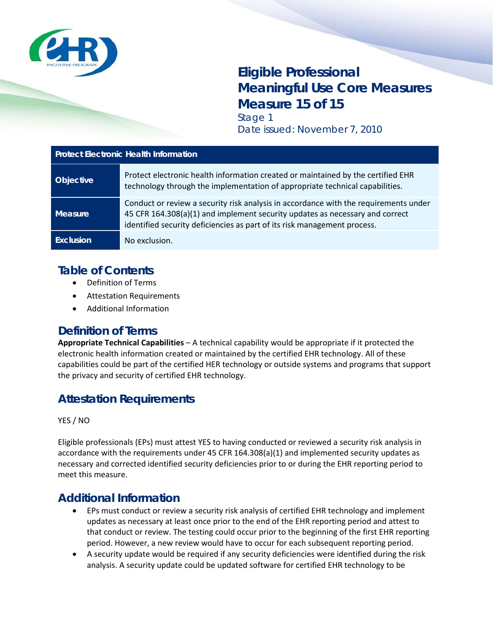

# **Eligible Professional Meaningful Use Core Measures Measure 15 of 15** Stage 1

Date issued: November 7, 2010

| <b>Protect Electronic Health Information</b> |                                                                                                                                                                                                                                                  |
|----------------------------------------------|--------------------------------------------------------------------------------------------------------------------------------------------------------------------------------------------------------------------------------------------------|
| <b>Objective</b>                             | Protect electronic health information created or maintained by the certified EHR<br>technology through the implementation of appropriate technical capabilities.                                                                                 |
| <b>Measure</b>                               | Conduct or review a security risk analysis in accordance with the requirements under<br>45 CFR 164.308(a)(1) and implement security updates as necessary and correct<br>identified security deficiencies as part of its risk management process. |
| Exclusion                                    | No exclusion.                                                                                                                                                                                                                                    |

#### **Table of Contents**

- Definition of Terms
- Attestation Requirements
- Additional Information

#### **Definition of Terms**

**Appropriate Technical Capabilities** – A technical capability would be appropriate if it protected the electronic health information created or maintained by the certified EHR technology. All of these capabilities could be part of the certified HER technology or outside systems and programs that support the privacy and security of certified EHR technology.

### **Attestation Requirements**

YES / NO

Eligible professionals (EPs) must attest YES to having conducted or reviewed a security risk analysis in accordance with the requirements under 45 CFR 164.308(a)(1) and implemented security updates as necessary and corrected identified security deficiencies prior to or during the EHR reporting period to meet this measure.

- EPs must conduct or review a security risk analysis of certified EHR technology and implement updates as necessary at least once prior to the end of the EHR reporting period and attest to that conduct or review. The testing could occur prior to the beginning of the first EHR reporting period. However, a new review would have to occur for each subsequent reporting period.
- A security update would be required if any security deficiencies were identified during the risk analysis. A security update could be updated software for certified EHR technology to be